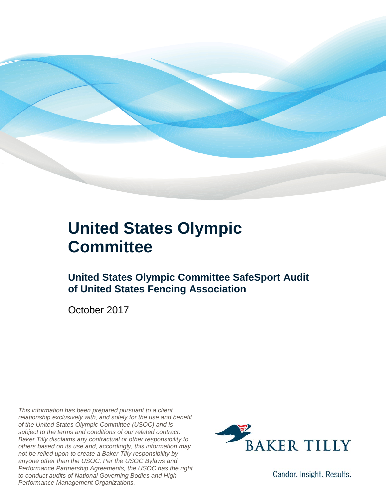

### **United States Olympic Committee**

### **United States Olympic Committee SafeSport Audit of United States Fencing Association**

October 2017

*This information has been prepared pursuant to a client relationship exclusively with, and solely for the use and benefit of the United States Olympic Committee (USOC) and is subject to the terms and conditions of our related contract. Baker Tilly disclaims any contractual or other responsibility to others based on its use and, accordingly, this information may not be relied upon to create a Baker Tilly responsibility by anyone other than the USOC. Per the USOC Bylaws and Performance Partnership Agreements, the USOC has the right to conduct audits of National Governing Bodies and High Performance Management Organizations.*



Candor. Insight. Results.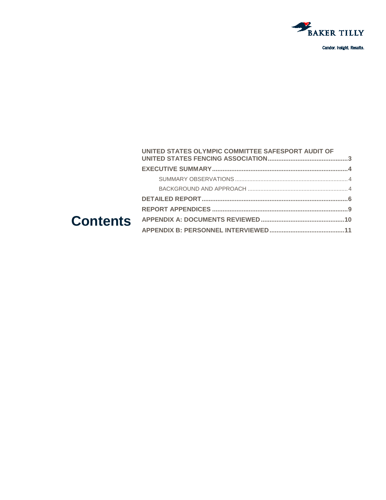

Candor. Insight. Results.

#### **Contents [UNITED STATES OLYMPIC COMMITTEE SAFESPORT AUDIT OF](#page-2-0)  [UNITED STATES FENCING ASSOCIATION..............................................3](#page-2-0) [EXECUTIVE SUMMARY..............................................................................4](#page-3-0)** SUMMARY OBSERVATIONS [.......................................................................4](#page-3-1) BACKGROUND AND APPROACH [...............................................................4](#page-3-2) **[DETAILED REPORT....................................................................................6](#page-5-0) REPORT APPENDICES [..............................................................................9](#page-8-0) [APPENDIX A: DOCUMENTS REVIEWED................................................10](#page-9-0) [APPENDIX B: PERSONNEL INTERVIEWED...........................................11](#page-10-0)**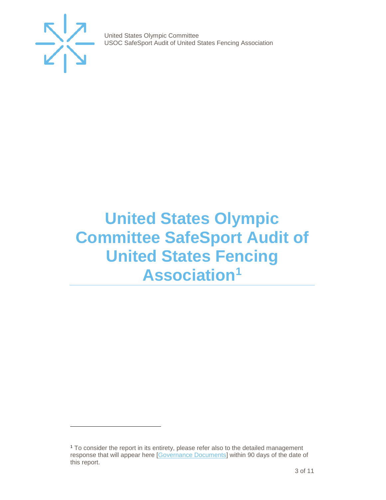

j

United States Olympic Committee USOC SafeSport Audit of United States Fencing Association

## <span id="page-2-0"></span>**United States Olympic Committee SafeSport Audit of United States Fencing Association[1](#page-2-1)**

<span id="page-2-1"></span><sup>1</sup> To consider the report in its entirety, please refer also to the detailed management response that will appear here [\[Governance Documents\]](https://www.teamusa.org/Footer/Legal/Governance-Documents) within 90 days of the date of this report.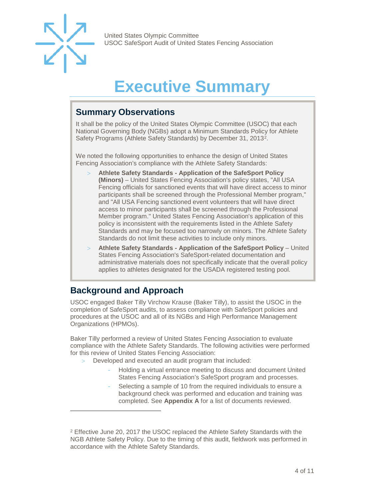

## **Executive Summar**

### <span id="page-3-1"></span><span id="page-3-0"></span>**Summary Observations**

It shall be the policy of the United States Olympic Committee (USOC) that each National Governing Body (NGBs) adopt a Minimum Standards Policy for Athlete Safety Programs (Athlete Safety Standards) by December 31, 2013[2](#page-3-3).

We noted the following opportunities to enhance the design of United States Fencing Association's compliance with the Athlete Safety Standards:

- > **Athlete Safety Standards - Application of the SafeSport Policy (Minors)** – United States Fencing Association's policy states, "All USA Fencing officials for sanctioned events that will have direct access to minor participants shall be screened through the Professional Member program," and "All USA Fencing sanctioned event volunteers that will have direct access to minor participants shall be screened through the Professional Member program." United States Fencing Association's application of this policy is inconsistent with the requirements listed in the Athlete Safety Standards and may be focused too narrowly on minors. The Athlete Safety Standards do not limit these activities to include only minors.
- > **Athlete Safety Standards - Application of the SafeSport Policy** United States Fencing Association's SafeSport-related documentation and administrative materials does not specifically indicate that the overall policy applies to athletes designated for the USADA registered testing pool.

### <span id="page-3-2"></span>**Background and Approach**

j

USOC engaged Baker Tilly Virchow Krause (Baker Tilly), to assist the USOC in the completion of SafeSport audits, to assess compliance with SafeSport policies and procedures at the USOC and all of its NGBs and High Performance Management Organizations (HPMOs).

Baker Tilly performed a review of United States Fencing Association to evaluate compliance with the Athlete Safety Standards. The following activities were performed for this review of United States Fencing Association:

- Developed and executed an audit program that included:
	- Holding a virtual entrance meeting to discuss and document United States Fencing Association's SafeSport program and processes.
	- Selecting a sample of 10 from the required individuals to ensure a background check was performed and education and training was completed. See **Appendix A** for a list of documents reviewed.

<span id="page-3-3"></span><sup>2</sup> Effective June 20, 2017 the USOC replaced the Athlete Safety Standards with the NGB Athlete Safety Policy. Due to the timing of this audit, fieldwork was performed in accordance with the Athlete Safety Standards.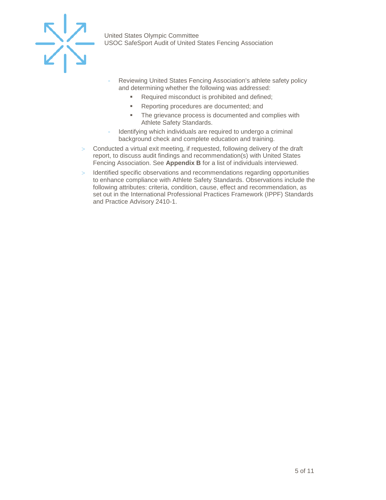

- Reviewing United States Fencing Association's athlete safety policy and determining whether the following was addressed:
	- Required misconduct is prohibited and defined;
	- **Reporting procedures are documented; and**
	- The grievance process is documented and complies with Athlete Safety Standards.
- Identifying which individuals are required to undergo a criminal background check and complete education and training.
- > Conducted a virtual exit meeting, if requested, following delivery of the draft report, to discuss audit findings and recommendation(s) with United States Fencing Association. See **Appendix B** for a list of individuals interviewed.
- > Identified specific observations and recommendations regarding opportunities to enhance compliance with Athlete Safety Standards. Observations include the following attributes: criteria, condition, cause, effect and recommendation, as set out in the International Professional Practices Framework (IPPF) Standards and Practice Advisory 2410-1.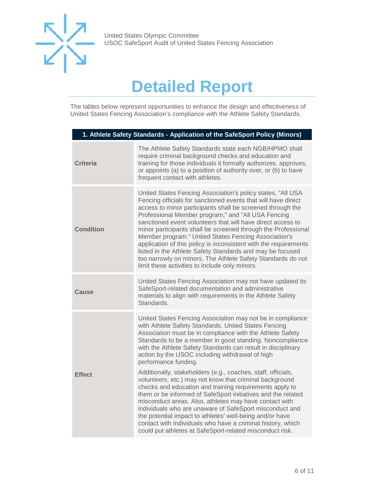

## **Detailed Report**

<span id="page-5-0"></span>The tables below represent opportunities to enhance the design and effectiveness of United States Fencing Association's compliance with the Athlete Safety Standards.

| 1. Athlete Safety Standards - Application of the SafeSport Policy (Minors) |                                                                                                                                                                                                                                                                                                                                                                                                                                                                                                                                                                                                                                                                                            |  |
|----------------------------------------------------------------------------|--------------------------------------------------------------------------------------------------------------------------------------------------------------------------------------------------------------------------------------------------------------------------------------------------------------------------------------------------------------------------------------------------------------------------------------------------------------------------------------------------------------------------------------------------------------------------------------------------------------------------------------------------------------------------------------------|--|
| <b>Criteria</b>                                                            | The Athlete Safety Standards state each NGB/HPMO shall<br>require criminal background checks and education and<br>training for those individuals it formally authorizes, approves,<br>or appoints (a) to a position of authority over, or (b) to have<br>frequent contact with athletes.                                                                                                                                                                                                                                                                                                                                                                                                   |  |
| <b>Condition</b>                                                           | United States Fencing Association's policy states, "All USA<br>Fencing officials for sanctioned events that will have direct<br>access to minor participants shall be screened through the<br>Professional Member program," and "All USA Fencing<br>sanctioned event volunteers that will have direct access to<br>minor participants shall be screened through the Professional<br>Member program." United States Fencing Association's<br>application of this policy is inconsistent with the requirements<br>listed in the Athlete Safety Standards and may be focused<br>too narrowly on minors. The Athlete Safety Standards do not<br>limit these activities to include only minors. |  |
| Cause                                                                      | United States Fencing Association may not have updated its<br>SafeSport-related documentation and administrative<br>materials to align with requirements in the Athlete Safety<br>Standards.                                                                                                                                                                                                                                                                                                                                                                                                                                                                                               |  |
|                                                                            | United States Fencing Association may not be in compliance<br>with Athlete Safety Standards. United States Fencing<br>Association must be in compliance with the Athlete Safety<br>Standards to be a member in good standing. Noncompliance<br>with the Athlete Safety Standards can result in disciplinary<br>action by the USOC including withdrawal of high<br>performance funding.                                                                                                                                                                                                                                                                                                     |  |
| <b>Effect</b>                                                              | Additionally, stakeholders (e.g., coaches, staff, officials,<br>volunteers, etc.) may not know that criminal background<br>checks and education and training requirements apply to<br>them or be informed of SafeSport initiatives and the related<br>misconduct areas. Also, athletes may have contact with<br>individuals who are unaware of SafeSport misconduct and<br>the potential impact to athletes' well-being and/or have<br>contact with individuals who have a criminal history, which<br>could put athletes at SafeSport-related misconduct risk.                                                                                                                             |  |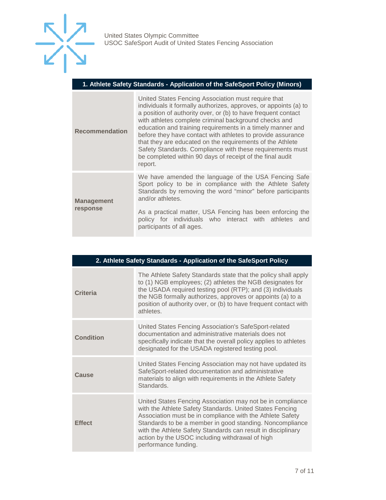

#### **1. Athlete Safety Standards - Application of the SafeSport Policy (Minors)**

| <b>Recommendation</b>         | United States Fencing Association must require that<br>individuals it formally authorizes, approves, or appoints (a) to<br>a position of authority over, or (b) to have frequent contact<br>with athletes complete criminal background checks and<br>education and training requirements in a timely manner and<br>before they have contact with athletes to provide assurance<br>that they are educated on the requirements of the Athlete<br>Safety Standards. Compliance with these requirements must<br>be completed within 90 days of receipt of the final audit<br>report. |  |
|-------------------------------|----------------------------------------------------------------------------------------------------------------------------------------------------------------------------------------------------------------------------------------------------------------------------------------------------------------------------------------------------------------------------------------------------------------------------------------------------------------------------------------------------------------------------------------------------------------------------------|--|
| <b>Management</b><br>response | We have amended the language of the USA Fencing Safe<br>Sport policy to be in compliance with the Athlete Safety<br>Standards by removing the word "minor" before participants<br>and/or athletes.                                                                                                                                                                                                                                                                                                                                                                               |  |
|                               | As a practical matter, USA Fencing has been enforcing the<br>policy for individuals who interact with athletes and<br>participants of all ages.                                                                                                                                                                                                                                                                                                                                                                                                                                  |  |

| 2. Athlete Safety Standards - Application of the SafeSport Policy |                                                                                                                                                                                                                                                                                                                                                                                            |  |
|-------------------------------------------------------------------|--------------------------------------------------------------------------------------------------------------------------------------------------------------------------------------------------------------------------------------------------------------------------------------------------------------------------------------------------------------------------------------------|--|
| <b>Criteria</b>                                                   | The Athlete Safety Standards state that the policy shall apply<br>to (1) NGB employees; (2) athletes the NGB designates for<br>the USADA required testing pool (RTP); and (3) individuals<br>the NGB formally authorizes, approves or appoints (a) to a<br>position of authority over, or (b) to have frequent contact with<br>athletes.                                                   |  |
| <b>Condition</b>                                                  | United States Fencing Association's SafeSport-related<br>documentation and administrative materials does not<br>specifically indicate that the overall policy applies to athletes<br>designated for the USADA registered testing pool.                                                                                                                                                     |  |
| Cause                                                             | United States Fencing Association may not have updated its<br>SafeSport-related documentation and administrative<br>materials to align with requirements in the Athlete Safety<br>Standards.                                                                                                                                                                                               |  |
| <b>Effect</b>                                                     | United States Fencing Association may not be in compliance<br>with the Athlete Safety Standards. United States Fencing<br>Association must be in compliance with the Athlete Safety<br>Standards to be a member in good standing. Noncompliance<br>with the Athlete Safety Standards can result in disciplinary<br>action by the USOC including withdrawal of high<br>performance funding. |  |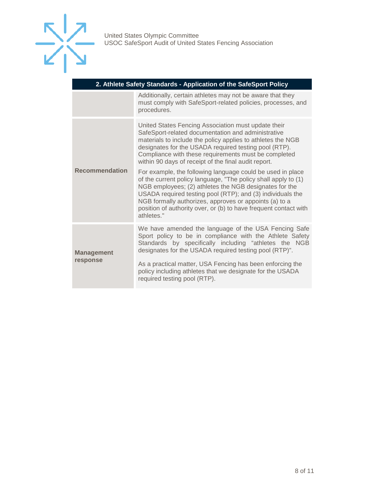

| 2. Athlete Safety Standards - Application of the SafeSport Policy |  |  |
|-------------------------------------------------------------------|--|--|
|-------------------------------------------------------------------|--|--|

|                               | Additionally, certain athletes may not be aware that they<br>must comply with SafeSport-related policies, processes, and<br>procedures.                                                                                                                                                                                                                                                          |  |
|-------------------------------|--------------------------------------------------------------------------------------------------------------------------------------------------------------------------------------------------------------------------------------------------------------------------------------------------------------------------------------------------------------------------------------------------|--|
| <b>Recommendation</b>         | United States Fencing Association must update their<br>SafeSport-related documentation and administrative<br>materials to include the policy applies to athletes the NGB<br>designates for the USADA required testing pool (RTP).<br>Compliance with these requirements must be completed<br>within 90 days of receipt of the final audit report.                                                |  |
|                               | For example, the following language could be used in place<br>of the current policy language, "The policy shall apply to (1)<br>NGB employees; (2) athletes the NGB designates for the<br>USADA required testing pool (RTP); and (3) individuals the<br>NGB formally authorizes, approves or appoints (a) to a<br>position of authority over, or (b) to have frequent contact with<br>athletes." |  |
| <b>Management</b><br>response | We have amended the language of the USA Fencing Safe<br>Sport policy to be in compliance with the Athlete Safety<br>Standards by specifically including "athletes the NGB<br>designates for the USADA required testing pool (RTP)".                                                                                                                                                              |  |
|                               | As a practical matter, USA Fencing has been enforcing the<br>policy including athletes that we designate for the USADA<br>required testing pool (RTP).                                                                                                                                                                                                                                           |  |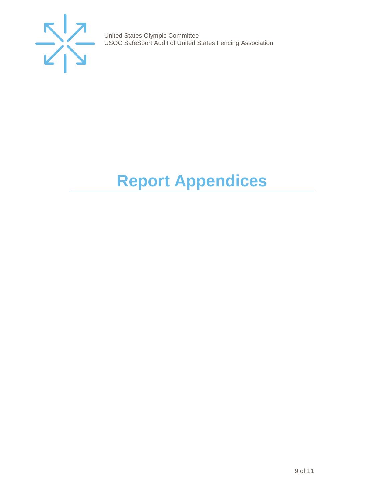

# <span id="page-8-0"></span>**Report Appendices**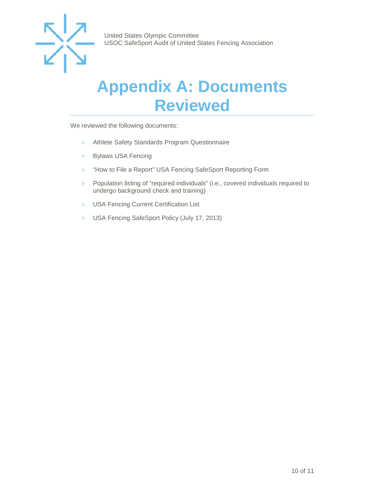

### <span id="page-9-0"></span>**Appendix A: Documents Reviewed**

We reviewed the following documents:

- > Athlete Safety Standards Program Questionnaire
- > Bylaws USA Fencing
- > "How to File a Report" USA Fencing SafeSport Reporting Form
- > Population listing of "required individuals" (i.e., covered individuals required to undergo background check and training)
- > USA Fencing Current Certification List
- > USA Fencing SafeSport Policy (July 17, 2013)